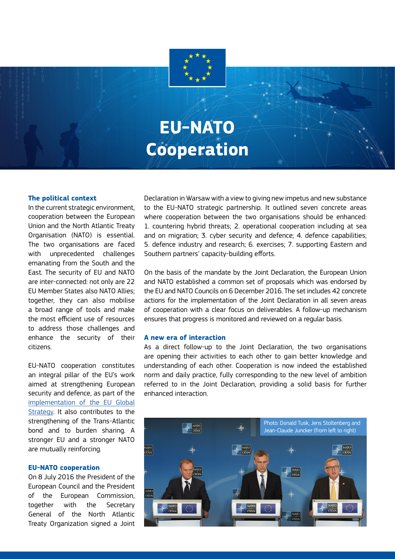# **EU-NATO Cooperation**

#### **The political context**

In the current strategic environment, cooperation between the European Union and the North Atlantic Treaty Organisation (NATO) is essential. The two organisations are faced with unprecedented challenges emanating from the South and the East. The security of EU and NATO are inter-connected: not only are 22 EU Member States also NATO Allies; together, they can also mobilise a broad range of tools and make the most efficient use of resources to address those challenges and enhance the security of their citizens.

EU-NATO cooperation constitutes an integral pillar of the EU's work aimed at strengthening European security and defence, as part of the [implementation of the EU Global](https://eeas.europa.eu/sites/eeas/files/implementation_plan_on_security_and_defence_2.pdf) [Strategy](https://eeas.europa.eu/sites/eeas/files/implementation_plan_on_security_and_defence_2.pdf). It also contributes to the strengthening of the Trans-Atlantic bond and to burden sharing. A stronger EU and a stronger NATO are mutually reinforcing.

#### **EU-NATO cooperation**

On 8 July 2016 the President of the European Council and the President of the European Commission, together with the Secretary General of the North Atlantic Treaty Organization signed a Joint

Declaration in Warsaw with a view to giving new impetus and new substance to the EU-NATO strategic partnership. It outlined seven concrete areas where cooperation between the two organisations should be enhanced: 1. countering hybrid threats; 2. operational cooperation including at sea and on migration; 3. cyber security and defence; 4. defence capabilities; 5. defence industry and research; 6. exercises; 7. supporting Eastern and Southern partners' capacity-building efforts.

On the basis of the mandate by the Joint Declaration, the European Union and NATO established a common set of proposals which was endorsed by the EU and NATO Councils on 6 December 2016. The set includes 42 concrete actions for the implementation of the Joint Declaration in all seven areas of cooperation with a clear focus on deliverables. A follow-up mechanism ensures that progress is monitored and reviewed on a regular basis.

#### **A new era of interaction**

As a direct follow-up to the Joint Declaration, the two organisations are opening their activities to each other to gain better knowledge and understanding of each other. Cooperation is now indeed the established norm and daily practice, fully corresponding to the new level of ambition referred to in the Joint Declaration, providing a solid basis for further enhanced interaction.